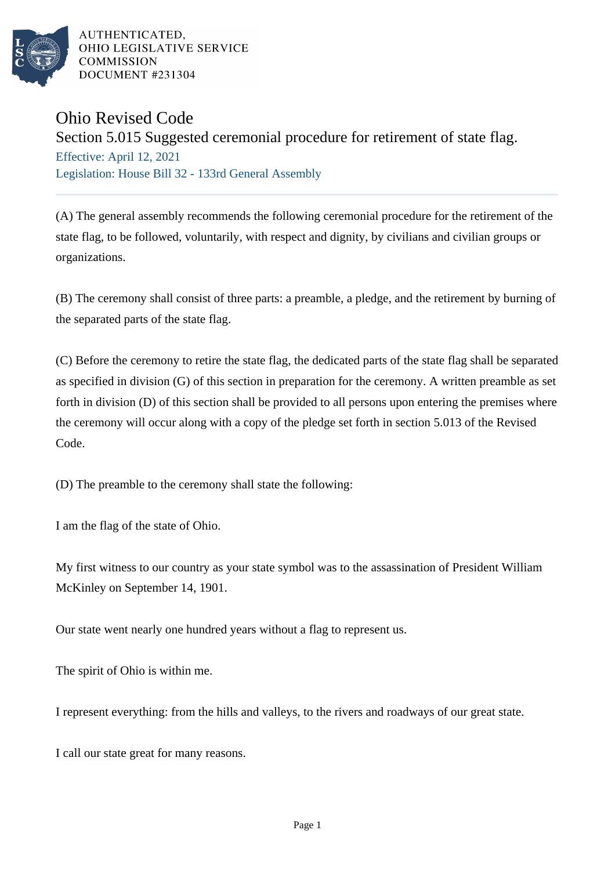

AUTHENTICATED. OHIO LEGISLATIVE SERVICE **COMMISSION DOCUMENT #231304** 

## Ohio Revised Code

## Section 5.015 Suggested ceremonial procedure for retirement of state flag.

Effective: April 12, 2021 Legislation: House Bill 32 - 133rd General Assembly

(A) The general assembly recommends the following ceremonial procedure for the retirement of the state flag, to be followed, voluntarily, with respect and dignity, by civilians and civilian groups or organizations.

(B) The ceremony shall consist of three parts: a preamble, a pledge, and the retirement by burning of the separated parts of the state flag.

(C) Before the ceremony to retire the state flag, the dedicated parts of the state flag shall be separated as specified in division (G) of this section in preparation for the ceremony. A written preamble as set forth in division (D) of this section shall be provided to all persons upon entering the premises where the ceremony will occur along with a copy of the pledge set forth in section 5.013 of the Revised Code.

(D) The preamble to the ceremony shall state the following:

I am the flag of the state of Ohio.

My first witness to our country as your state symbol was to the assassination of President William McKinley on September 14, 1901.

Our state went nearly one hundred years without a flag to represent us.

The spirit of Ohio is within me.

I represent everything: from the hills and valleys, to the rivers and roadways of our great state.

I call our state great for many reasons.